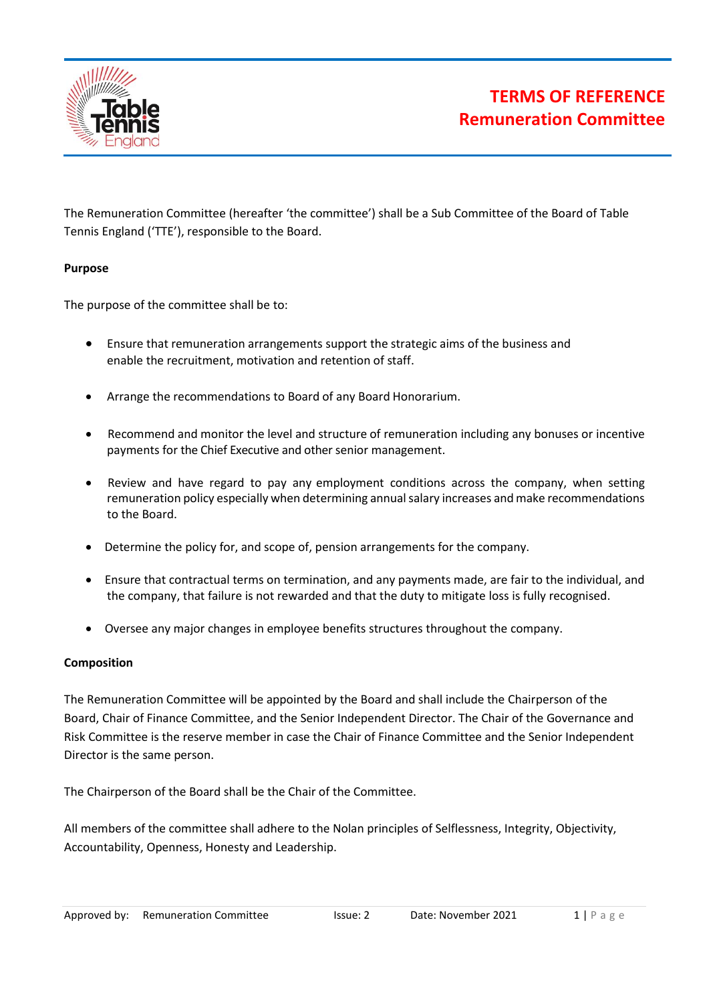

The Remuneration Committee (hereafter 'the committee') shall be a Sub Committee of the Board of Table Tennis England ('TTE'), responsible to the Board.

## **Purpose**

The purpose of the committee shall be to:

- Ensure that remuneration arrangements support the strategic aims of the business and enable the recruitment, motivation and retention of staff.
- Arrange the recommendations to Board of any Board Honorarium.
- Recommend and monitor the level and structure of remuneration including any bonuses or incentive payments for the Chief Executive and other senior management.
- Review and have regard to pay any employment conditions across the company, when setting remuneration policy especially when determining annual salary increases and make recommendations to the Board.
- Determine the policy for, and scope of, pension arrangements for the company.
- Ensure that contractual terms on termination, and any payments made, are fair to the individual, and the company, that failure is not rewarded and that the duty to mitigate loss is fully recognised.
- Oversee any major changes in employee benefits structures throughout the company.

## **Composition**

The Remuneration Committee will be appointed by the Board and shall include the Chairperson of the Board, Chair of Finance Committee, and the Senior Independent Director. The Chair of the Governance and Risk Committee is the reserve member in case the Chair of Finance Committee and the Senior Independent Director is the same person.

The Chairperson of the Board shall be the Chair of the Committee.

All members of the committee shall adhere to the Nolan principles of Selflessness, Integrity, Objectivity, Accountability, Openness, Honesty and Leadership.